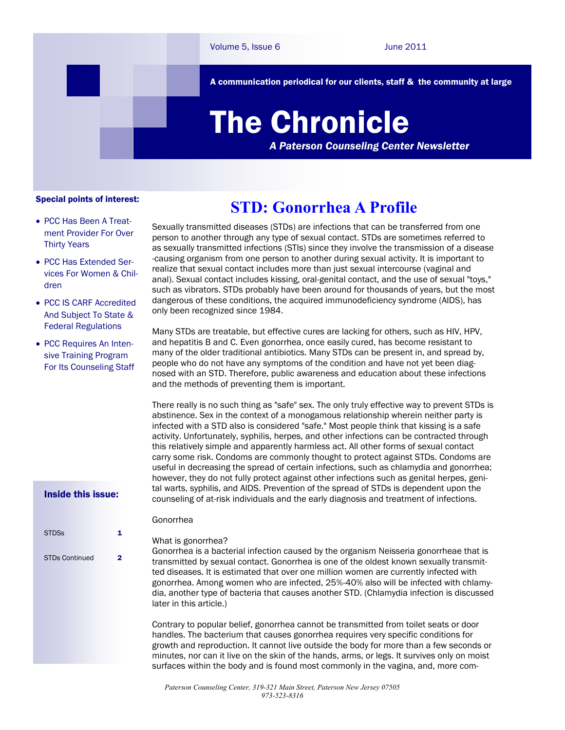A communication periodical for our clients, staff & the community at large

# The Chronicle

*A Paterson Counseling Center Newsletter*

## Special points of interest:

- PCC Has Been A Treatment Provider For Over Thirty Years
- PCC Has Extended Services For Women & Children
- PCC IS CARF Accredited And Subject To State & Federal Regulations
- PCC Requires An Intensive Training Program For Its Counseling Staff

# **STD: Gonorrhea A Profile**

Sexually transmitted diseases (STDs) are infections that can be transferred from one person to another through any type of sexual contact. STDs are sometimes referred to as sexually transmitted infections (STIs) since they involve the transmission of a disease -causing organism from one person to another during sexual activity. It is important to realize that sexual contact includes more than just sexual intercourse (vaginal and anal). Sexual contact includes kissing, oral-genital contact, and the use of sexual "toys," such as vibrators. STDs probably have been around for thousands of years, but the most dangerous of these conditions, the acquired immunodeficiency syndrome (AIDS), has only been recognized since 1984.

Many STDs are treatable, but effective cures are lacking for others, such as HIV, HPV, and hepatitis B and C. Even gonorrhea, once easily cured, has become resistant to many of the older traditional antibiotics. Many STDs can be present in, and spread by, people who do not have any symptoms of the condition and have not yet been diagnosed with an STD. Therefore, public awareness and education about these infections and the methods of preventing them is important.

There really is no such thing as "safe" sex. The only truly effective way to prevent STDs is abstinence. Sex in the context of a monogamous relationship wherein neither party is infected with a STD also is considered "safe." Most people think that kissing is a safe activity. Unfortunately, syphilis, herpes, and other infections can be contracted through this relatively simple and apparently harmless act. All other forms of sexual contact carry some risk. Condoms are commonly thought to protect against STDs. Condoms are useful in decreasing the spread of certain infections, such as chlamydia and gonorrhea; however, they do not fully protect against other infections such as genital herpes, genital warts, syphilis, and AIDS. Prevention of the spread of STDs is dependent upon the counseling of at-risk individuals and the early diagnosis and treatment of infections.

# Inside this issue:

| <b>STDSs</b>          |   |
|-----------------------|---|
| <b>STDs Continued</b> | 2 |
|                       |   |

# Gonorrhea

#### What is gonorrhea?

Gonorrhea is a bacterial infection caused by the organism Neisseria gonorrheae that is transmitted by sexual contact. Gonorrhea is one of the oldest known sexually transmitted diseases. It is estimated that over one million women are currently infected with gonorrhea. Among women who are infected, 25%-40% also will be infected with chlamydia, another type of bacteria that causes another STD. (Chlamydia infection is discussed later in this article.)

Contrary to popular belief, gonorrhea cannot be transmitted from toilet seats or door handles. The bacterium that causes gonorrhea requires very specific conditions for growth and reproduction. It cannot live outside the body for more than a few seconds or minutes, nor can it live on the skin of the hands, arms, or legs. It survives only on moist surfaces within the body and is found most commonly in the vagina, and, more com-